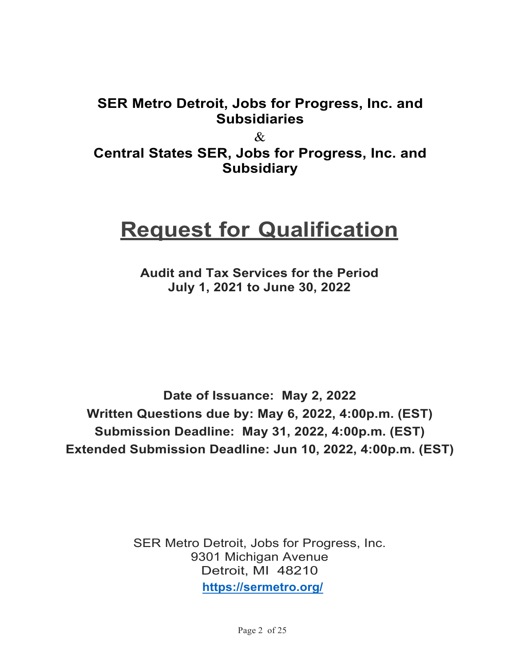# **SER Metro Detroit, Jobs for Progress, Inc. and Subsidiaries**

 $\mathcal{R}_{\mathcal{L}}$ **Central States SER, Jobs for Progress, Inc. and Subsidiary** 

# **Request for Qualification**

**Audit and Tax Services for the Period July 1, 2021 to June 30, 2022**

**Date of Issuance: May 2, 2022 Written Questions due by: May 6, 2022, 4:00p.m. (EST) Submission Deadline: May 31, 2022, 4:00p.m. (EST) Extended Submission Deadline: Jun 10, 2022, 4:00p.m. (EST)**

> SER Metro Detroit, Jobs for Progress, Inc. 9301 Michigan Avenue Detroit, MI 48210 **<https://sermetro.org/>**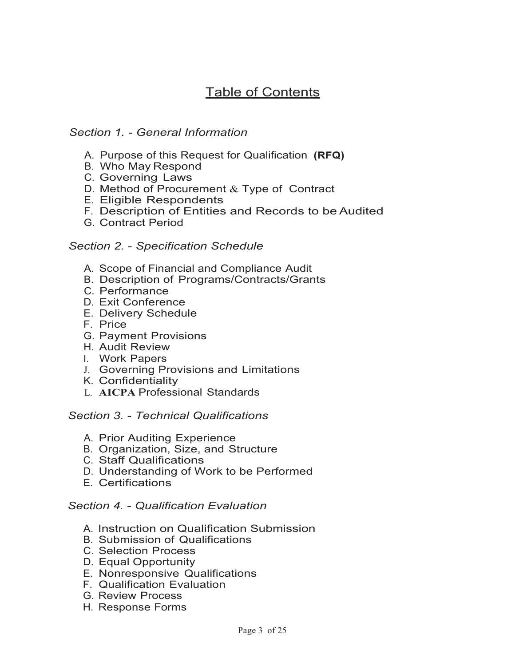# Table of Contents

# *Section 1.* - *General Information*

- A. Purpose of this Request for Qualification **(RFQ)**
- B. Who May Respond
- C. Governing Laws
- D. Method of Procurement & Type of Contract
- E. Eligible Respondents
- F. Description of Entities and Records to be Audited
- G. Contract Period

### *Section 2.* - *Specification Schedule*

- A. Scope of Financial and Compliance Audit
- B. Description of Programs/Contracts/Grants
- C. Performance
- D. Exit Conference
- E. Delivery Schedule
- F. Price
- G. Payment Provisions
- H. Audit Review
- I. Work Papers
- J. Governing Provisions and Limitations
- K. Confidentiality
- L. **AICPA** Professional Standards

#### *Section 3.* - *Technical Qualifications*

- A. Prior Auditing Experience
- B. Organization, Size, and Structure
- C. Staff Qualifications
- D. Understanding of Work to be Performed
- E. Certifications

#### *Section 4.* - *Qualification Evaluation*

- A. Instruction on Qualification Submission
- B. Submission of Qualifications
- C. Selection Process
- D. Equal Opportunity
- E. Nonresponsive Qualifications
- F. Qualification Evaluation
- G. Review Process
- H. Response Forms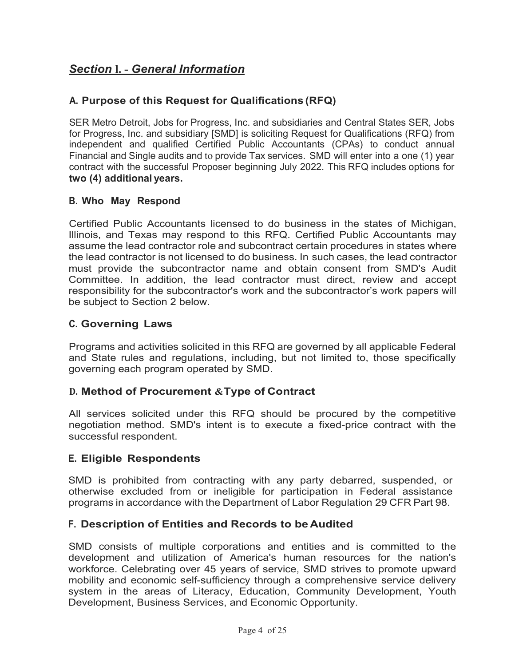# *Section* **l. -** *General Information*

# **A. Purpose of this Request for Qualifications (RFQ)**

SER Metro Detroit, Jobs for Progress, Inc. and subsidiaries and Central States SER, Jobs for Progress, Inc. and subsidiary [SMD] is soliciting Request for Qualifications (RFQ) from independent and qualified Certified Public Accountants (CPAs) to conduct annual Financial and Single audits and to provide Tax services. SMD will enter into a one (1) year contract with the successful Proposer beginning July 2022. This RFQ includes options for **two (4) additional years.**

### **B. Who May Respond**

Certified Public Accountants licensed to do business in the states of Michigan, Illinois, and Texas may respond to this RFQ. Certified Public Accountants may assume the lead contractor role and subcontract certain procedures in states where the lead contractor is not licensed to do business. In such cases, the lead contractor must provide the subcontractor name and obtain consent from SMD's Audit Committee. In addition, the lead contractor must direct, review and accept responsibility for the subcontractor's work and the subcontractor's work papers will be subject to Section 2 below.

### **C. Governing Laws**

Programs and activities solicited in this RFQ are governed by all applicable Federal and State rules and regulations, including, but not limited to, those specifically governing each program operated by SMD.

### **D. Method of Procurement &Type of Contract**

All services solicited under this RFQ should be procured by the competitive negotiation method. SMD's intent is to execute a fixed-price contract with the successful respondent.

### **E. Eligible Respondents**

SMD is prohibited from contracting with any party debarred, suspended, or otherwise excluded from or ineligible for participation in Federal assistance programs in accordance with the Department of Labor Regulation 29 CFR Part 98.

### **F. Description of Entities and Records to be Audited**

SMD consists of multiple corporations and entities and is committed to the development and utilization of America's human resources for the nation's workforce. Celebrating over 45 years of service, SMD strives to promote upward mobility and economic self-sufficiency through a comprehensive service delivery system in the areas of Literacy, Education, Community Development, Youth Development, Business Services, and Economic Opportunity.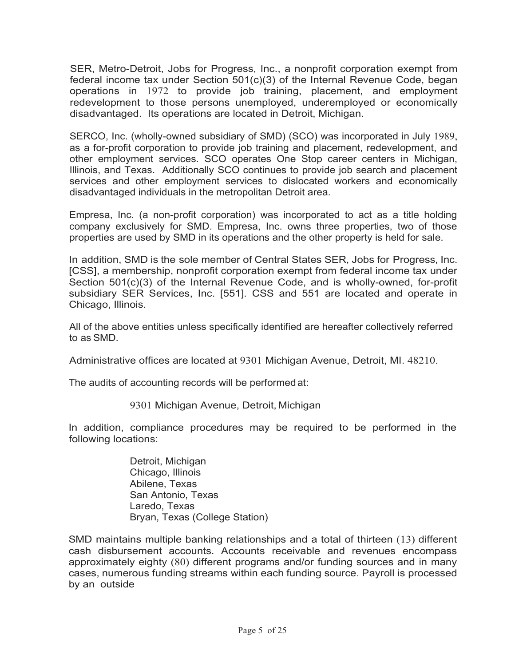SER, Metro-Detroit, Jobs for Progress, Inc., a nonprofit corporation exempt from federal income tax under Section 501(c)(3) of the Internal Revenue Code, began operations in 1972 to provide job training, placement, and employment redevelopment to those persons unemployed, underemployed or economically disadvantaged. Its operations are located in Detroit, Michigan.

SERCO, Inc. (wholly-owned subsidiary of SMD) (SCO) was incorporated in July 1989, as a for-profit corporation to provide job training and placement, redevelopment, and other employment services. SCO operates One Stop career centers in Michigan, Illinois, and Texas. Additionally SCO continues to provide job search and placement services and other employment services to dislocated workers and economically disadvantaged individuals in the metropolitan Detroit area.

Empresa, Inc. (a non-profit corporation) was incorporated to act as a title holding company exclusively for SMD. Empresa, Inc. owns three properties, two of those properties are used by SMD in its operations and the other property is held for sale.

In addition, SMD is the sole member of Central States SER, Jobs for Progress, Inc. [CSS], a membership, nonprofit corporation exempt from federal income tax under Section 501(c)(3) of the Internal Revenue Code, and is wholly-owned, for-profit subsidiary SER Services, Inc. [551]. CSS and 551 are located and operate in Chicago, Illinois.

All of the above entities unless specifically identified are hereafter collectively referred to as SMD.

Administrative offices are located at 9301 Michigan Avenue, Detroit, MI. 48210.

The audits of accounting records will be performed at:

9301 Michigan Avenue, Detroit, Michigan

In addition, compliance procedures may be required to be performed in the following locations:

> Detroit, Michigan Chicago, Illinois Abilene, Texas San Antonio, Texas Laredo, Texas Bryan, Texas (College Station)

SMD maintains multiple banking relationships and a total of thirteen (13) different cash disbursement accounts. Accounts receivable and revenues encompass approximately eighty (80) different programs and/or funding sources and in many cases, numerous funding streams within each funding source. Payroll is processed by an outside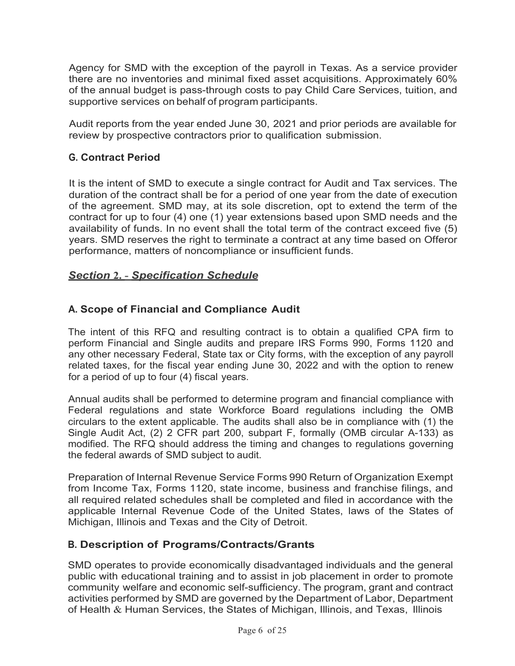Agency for SMD with the exception of the payroll in Texas. As a service provider there are no inventories and minimal fixed asset acquisitions. Approximately 60% of the annual budget is pass-through costs to pay Child Care Services, tuition, and supportive services on behalf of program participants.

Audit reports from the year ended June 30, 2021 and prior periods are available for review by prospective contractors prior to qualification submission.

### **G. Contract Period**

It is the intent of SMD to execute a single contract for Audit and Tax services. The duration of the contract shall be for a period of one year from the date of execution of the agreement. SMD may, at its sole discretion, opt to extend the term of the contract for up to four (4) one (1) year extensions based upon SMD needs and the availability of funds. In no event shall the total term of the contract exceed five (5) years. SMD reserves the right to terminate a contract at any time based on Offeror performance, matters of noncompliance or insufficient funds.

### *Section* **2. -** *Specification Schedule*

### **A. Scope of Financial and Compliance Audit**

The intent of this RFQ and resulting contract is to obtain a qualified CPA firm to perform Financial and Single audits and prepare IRS Forms 990, Forms 1120 and any other necessary Federal, State tax or City forms, with the exception of any payroll related taxes, for the fiscal year ending June 30, 2022 and with the option to renew for a period of up to four (4) fiscal years.

Annual audits shall be performed to determine program and financial compliance with Federal regulations and state Workforce Board regulations including the OMB circulars to the extent applicable. The audits shall also be in compliance with (1) the Single Audit Act, (2) 2 CFR part 200, subpart F, formally (OMB circular A-133) as modified. The RFQ should address the timing and changes to regulations governing the federal awards of SMD subject to audit.

Preparation of Internal Revenue Service Forms 990 Return of Organization Exempt from Income Tax, Forms 1120, state income, business and franchise filings, and all required related schedules shall be completed and filed in accordance with the applicable Internal Revenue Code of the United States, laws of the States of Michigan, Illinois and Texas and the City of Detroit.

### **B. Description of Programs/Contracts/Grants**

SMD operates to provide economically disadvantaged individuals and the general public with educational training and to assist in job placement in order to promote community welfare and economic self-sufficiency. The program, grant and contract activities performed by SMD are governed by the Department of Labor, Department of Health & Human Services, the States of Michigan, Illinois, and Texas, Illinois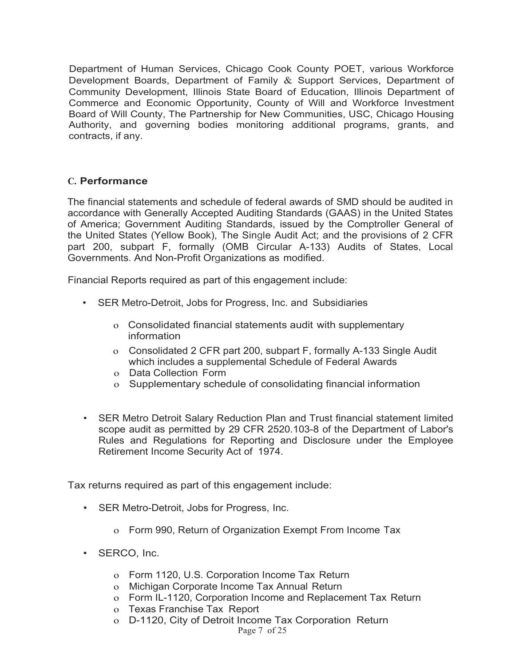Department of Human Services, Chicago Cook County POET, various Workforce Development Boards, Department of Family & Support Services, Department of Community Development, Illinois State Board of Education, Illinois Department of Commerce and Economic Opportunity, County of Will and Workforce Investment Board of Will County, The Partnership for New Communities, USC, Chicago Housing Authority, and governing bodies monitoring additional programs, grants, and contracts, if any.

#### **C. Performance**

The financial statements and schedule of federal awards of SMD should be audited in accordance with Generally Accepted Auditing Standards (GAAS) in the United States of America; Government Auditing Standards, issued by the Comptroller General of the United States (Yellow Book), The Single Audit Act; and the provisions of 2 CFR part 200, subpart F, formally (OMB Circular A-133) Audits of States, Local Governments. And Non-Profit Organizations as modified.

Financial Reports required as part of this engagement include:

- SER Metro-Detroit, Jobs for Progress, Inc. and Subsidiaries
	- o Consolidated financial statements audit with supplementary information
	- o Consolidated 2 CFR part 200, subpart F, formally A-133 Single Audit which includes a supplemental Schedule of Federal Awards
	- o Data Collection Form
	- o Supplementary schedule of consolidating financial information
- SER Metro Detroit Salary Reduction Plan and Trust financial statement limited scope audit as permitted by 29 CFR 2520.103-8 of the Department of Labor's Rules and Regulations for Reporting and Disclosure under the Employee Retirement Income Security Act of 1974.

Tax returns required as part of this engagement include:

- SER Metro-Detroit, Jobs for Progress, Inc.
	- o Form 990, Return of Organization Exempt From Income Tax
- SERCO, Inc.
	- o Form 1120, U.S. Corporation Income Tax Return
	- o Michigan Corporate Income Tax Annual Return
	- o Form IL-1120, Corporation Income and Replacement Tax Return
	- o Texas Franchise Tax Report
	- o D-1120, City of Detroit Income Tax Corporation Return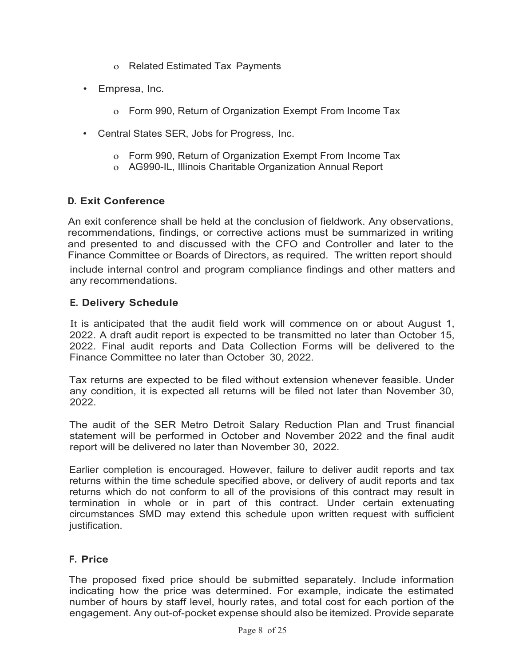- o Related Estimated Tax Payments
- Empresa, Inc.
	- o Form 990, Return of Organization Exempt From Income Tax
- Central States SER, Jobs for Progress, Inc.
	- o Form 990, Return of Organization Exempt From Income Tax
	- o AG990-IL, Illinois Charitable Organization Annual Report

# **D. Exit Conference**

An exit conference shall be held at the conclusion of fieldwork. Any observations, recommendations, findings, or corrective actions must be summarized in writing and presented to and discussed with the CFO and Controller and later to the Finance Committee or Boards of Directors, as required. The written report should include internal control and program compliance findings and other matters and any recommendations.

# **E. Delivery Schedule**

It is anticipated that the audit field work will commence on or about August 1, 2022. A draft audit report is expected to be transmitted no later than October 15, 2022. Final audit reports and Data Collection Forms will be delivered to the Finance Committee no later than October 30, 2022.

Tax returns are expected to be filed without extension whenever feasible. Under any condition, it is expected all returns will be filed not later than November 30, 2022.

The audit of the SER Metro Detroit Salary Reduction Plan and Trust financial statement will be performed in October and November 2022 and the final audit report will be delivered no later than November 30, 2022.

Earlier completion is encouraged. However, failure to deliver audit reports and tax returns within the time schedule specified above, or delivery of audit reports and tax returns which do not conform to all of the provisions of this contract may result in termination in whole or in part of this contract. Under certain extenuating circumstances SMD may extend this schedule upon written request with sufficient justification.

### **F. Price**

The proposed fixed price should be submitted separately. Include information indicating how the price was determined. For example, indicate the estimated number of hours by staff level, hourly rates, and total cost for each portion of the engagement. Any out-of-pocket expense should also be itemized. Provide separate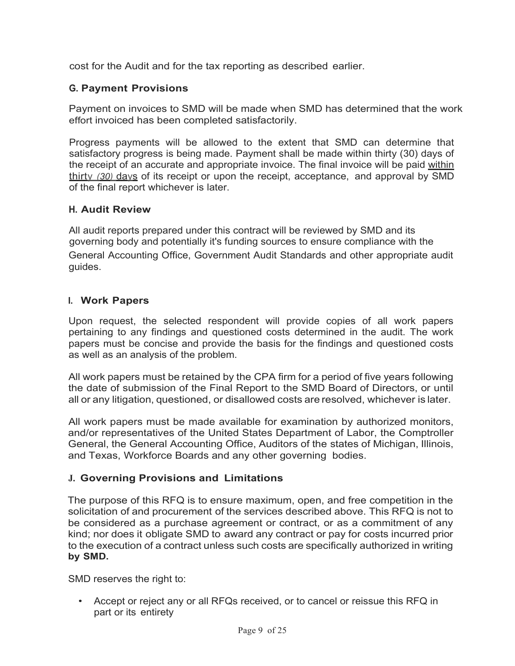cost for the Audit and for the tax reporting as described earlier.

# **G. Payment Provisions**

Payment on invoices to SMD will be made when SMD has determined that the work effort invoiced has been completed satisfactorily.

Progress payments will be allowed to the extent that SMD can determine that satisfactory progress is being made. Payment shall be made within thirty (30) days of the receipt of an accurate and appropriate invoice. The final invoice will be paid within thirty *(30)* days of its receipt or upon the receipt, acceptance, and approval by SMD of the final report whichever is later.

### **H. Audit Review**

All audit reports prepared under this contract will be reviewed by SMD and its governing body and potentially it's funding sources to ensure compliance with the General Accounting Office, Government Audit Standards and other appropriate audit guides.

# **I. Work Papers**

Upon request, the selected respondent will provide copies of all work papers pertaining to any findings and questioned costs determined in the audit. The work papers must be concise and provide the basis for the findings and questioned costs as well as an analysis of the problem.

All work papers must be retained by the CPA firm for a period of five years following the date of submission of the Final Report to the SMD Board of Directors, or until all or any litigation, questioned, or disallowed costs are resolved, whichever is later.

All work papers must be made available for examination by authorized monitors, and/or representatives of the United States Department of Labor, the Comptroller General, the General Accounting Office, Auditors of the states of Michigan, Illinois, and Texas, Workforce Boards and any other governing bodies.

### **J. Governing Provisions and Limitations**

The purpose of this RFQ is to ensure maximum, open, and free competition in the solicitation of and procurement of the services described above. This RFQ is not to be considered as a purchase agreement or contract, or as a commitment of any kind; nor does it obligate SMD to award any contract or pay for costs incurred prior to the execution of a contract unless such costs are specifically authorized in writing **by SMD.**

SMD reserves the right to:

• Accept or reject any or all RFQs received, or to cancel or reissue this RFQ in part or its entirety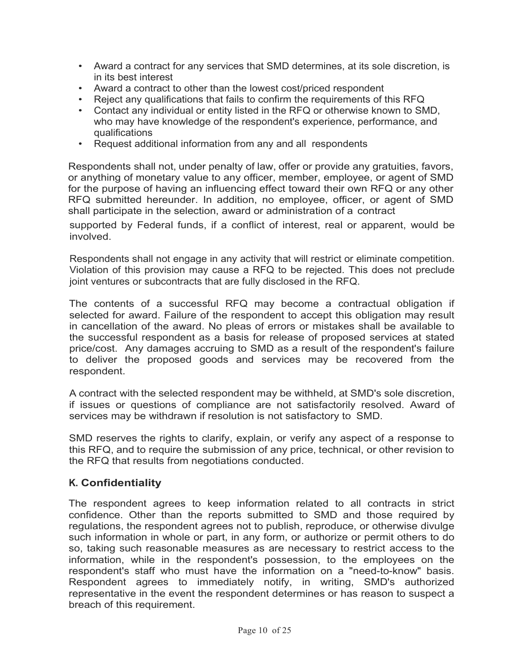- Award a contract for any services that SMD determines, at its sole discretion, is in its best interest
- Award a contract to other than the lowest cost/priced respondent
- Reject any qualifications that fails to confirm the requirements of this RFQ<br>• Contact any individual or entity listed in the RFQ or otherwise known to SM
- Contact any individual or entity listed in the RFQ or otherwise known to SMD, who may have knowledge of the respondent's experience, performance, and qualifications
- Request additional information from any and all respondents

Respondents shall not, under penalty of law, offer or provide any gratuities, favors, or anything of monetary value to any officer, member, employee, or agent of SMD for the purpose of having an influencing effect toward their own RFQ or any other RFQ submitted hereunder. In addition, no employee, officer, or agent of SMD shall participate in the selection, award or administration of a contract

supported by Federal funds, if a conflict of interest, real or apparent, would be involved.

Respondents shall not engage in any activity that will restrict or eliminate competition. Violation of this provision may cause a RFQ to be rejected. This does not preclude joint ventures or subcontracts that are fully disclosed in the RFQ.

The contents of a successful RFQ may become a contractual obligation if selected for award. Failure of the respondent to accept this obligation may result in cancellation of the award. No pleas of errors or mistakes shall be available to the successful respondent as a basis for release of proposed services at stated price/cost. Any damages accruing to SMD as a result of the respondent's failure to deliver the proposed goods and services may be recovered from the respondent.

A contract with the selected respondent may be withheld, at SMD's sole discretion, if issues or questions of compliance are not satisfactorily resolved. Award of services may be withdrawn if resolution is not satisfactory to SMD.

SMD reserves the rights to clarify, explain, or verify any aspect of a response to this RFQ, and to require the submission of any price, technical, or other revision to the RFQ that results from negotiations conducted.

# **K. Confidentiality**

The respondent agrees to keep information related to all contracts in strict confidence. Other than the reports submitted to SMD and those required by regulations, the respondent agrees not to publish, reproduce, or otherwise divulge such information in whole or part, in any form, or authorize or permit others to do so, taking such reasonable measures as are necessary to restrict access to the information, while in the respondent's possession, to the employees on the respondent's staff who must have the information on a "need-to-know" basis. Respondent agrees to immediately notify, in writing, SMD's authorized representative in the event the respondent determines or has reason to suspect a breach of this requirement.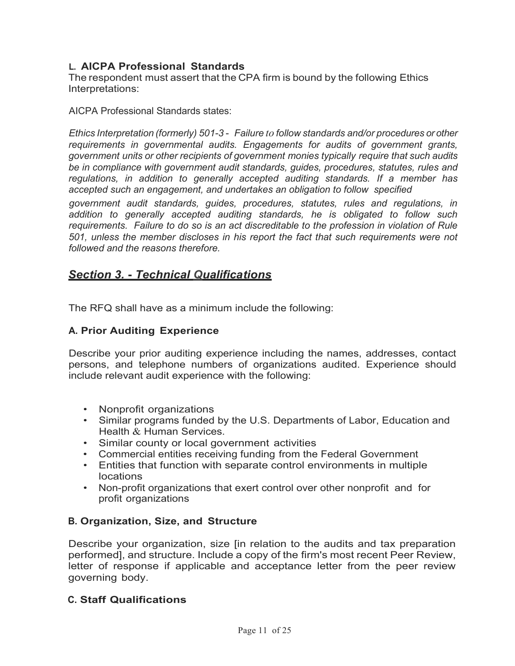# **L. AICPA Professional Standards**

The respondent must assert that the CPA firm is bound by the following Ethics Interpretations:

AICPA Professional Standards states:

*Ethics Interpretation (formerly) 501-3* - *Failure to follow standards and/or procedures or other requirements in governmental audits. Engagements for audits of government grants, government units or other recipients of government monies typically require that such audits be in compliance with government audit standards, guides, procedures, statutes, rules and regulations, in addition to generally accepted auditing standards. If a member has accepted such an engagement, and undertakes an obligation to follow specified*

*government audit standards, guides, procedures, statutes, rules and regulations, in addition to generally accepted auditing standards, he is obligated to follow such requirements. Failure to do so is an act discreditable to the profession in violation of Rule 501, unless the member discloses in his report the fact that such requirements were not followed and the reasons therefore.*

# *Section 3.* **-** *Technical Qualifications*

The RFQ shall have as a minimum include the following:

### **A. Prior Auditing Experience**

Describe your prior auditing experience including the names, addresses, contact persons, and telephone numbers of organizations audited. Experience should include relevant audit experience with the following:

- Nonprofit organizations
- Similar programs funded by the U.S. Departments of Labor, Education and Health & Human Services.
- Similar county or local government activities
- Commercial entities receiving funding from the Federal Government
- Entities that function with separate control environments in multiple locations
- Non-profit organizations that exert control over other nonprofit and for profit organizations

### **B. Organization, Size, and Structure**

Describe your organization, size [in relation to the audits and tax preparation performed], and structure. Include a copy of the firm's most recent Peer Review, letter of response if applicable and acceptance letter from the peer review governing body.

### **C. Staff Qualifications**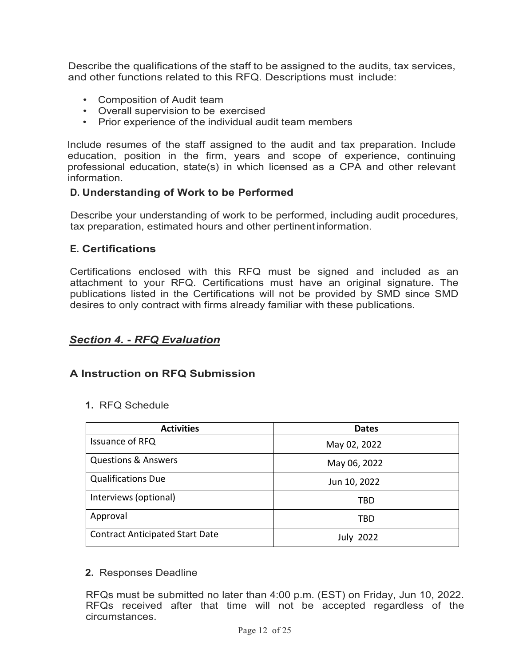Describe the qualifications of the staff to be assigned to the audits, tax services, and other functions related to this RFQ. Descriptions must include:

- Composition of Audit team
- Overall supervision to be exercised
- Prior experience of the individual audit team members

Include resumes of the staff assigned to the audit and tax preparation. Include education, position in the firm, years and scope of experience, continuing professional education, state(s) in which licensed as a CPA and other relevant information.

# **D. Understanding of Work to be Performed**

Describe your understanding of work to be performed, including audit procedures, tax preparation, estimated hours and other pertinent information.

# **E. Certifications**

Certifications enclosed with this RFQ must be signed and included as an attachment to your RFQ. Certifications must have an original signature. The publications listed in the Certifications will not be provided by SMD since SMD desires to only contract with firms already familiar with these publications.

# *Section 4.* **-** *RFQ Evaluation*

### **A Instruction on RFQ Submission**

**1.** RFQ Schedule

| <b>Activities</b>                      | <b>Dates</b>     |  |  |
|----------------------------------------|------------------|--|--|
| Issuance of RFQ                        | May 02, 2022     |  |  |
| <b>Questions &amp; Answers</b>         | May 06, 2022     |  |  |
| <b>Qualifications Due</b>              | Jun 10, 2022     |  |  |
| Interviews (optional)                  | TBD              |  |  |
| Approval                               | TBD              |  |  |
| <b>Contract Anticipated Start Date</b> | <b>July 2022</b> |  |  |

### **2.** Responses Deadline

RFQs must be submitted no later than 4:00 p.m. (EST) on Friday, Jun 10, 2022. RFQs received after that time will not be accepted regardless of the circumstances.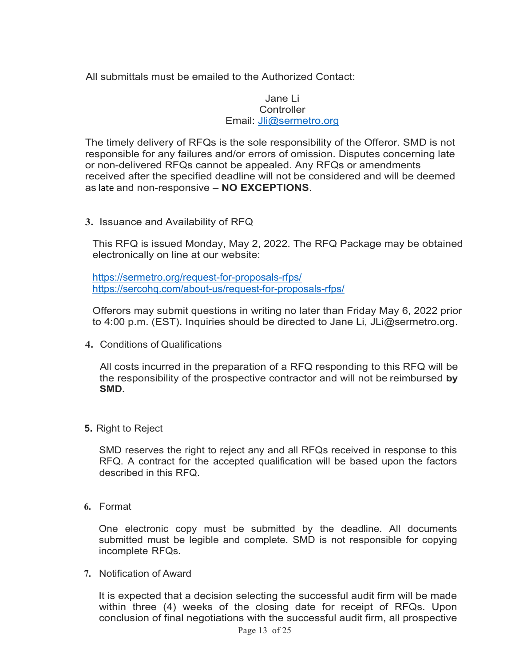All submittals must be emailed to the Authorized Contact:

#### Jane Li **Controller** Email: [Jli@sermetro.org](mailto:Jli@sermetro.org)

The timely delivery of RFQs is the sole responsibility of the Offeror. SMD is not responsible for any failures and/or errors of omission. Disputes concerning late or non-delivered RFQs cannot be appealed. Any RFQs or amendments received after the specified deadline will not be considered and will be deemed as late and non-responsive – **NO EXCEPTIONS**.

**3.** Issuance and Availability of RFQ

This RFQ is issued Monday, May 2, 2022. The RFQ Package may be obtained electronically on line at our website:

<https://sermetro.org/request-for-proposals-rfps/> https://sercohq.com/about-us/request-for-proposals-rfps/

Offerors may submit questions in writing no later than Friday May 6, 2022 prior to 4:00 p.m. (EST). Inquiries should be directed to Jane Li, [JLi@sermetro.org.](mailto:JLi@sermetro.org.)

**4.** Conditions of Qualifications

All costs incurred in the preparation of a RFQ responding to this RFQ will be the responsibility of the prospective contractor and will not be reimbursed **by SMD.**

**5.** Right to Reject

SMD reserves the right to reject any and all RFQs received in response to this RFQ. A contract for the accepted qualification will be based upon the factors described in this RFQ.

**6.** Format

One electronic copy must be submitted by the deadline. All documents submitted must be legible and complete. SMD is not responsible for copying incomplete RFQs.

**7.** Notification of Award

It is expected that a decision selecting the successful audit firm will be made within three (4) weeks of the closing date for receipt of RFQs. Upon conclusion of final negotiations with the successful audit firm, all prospective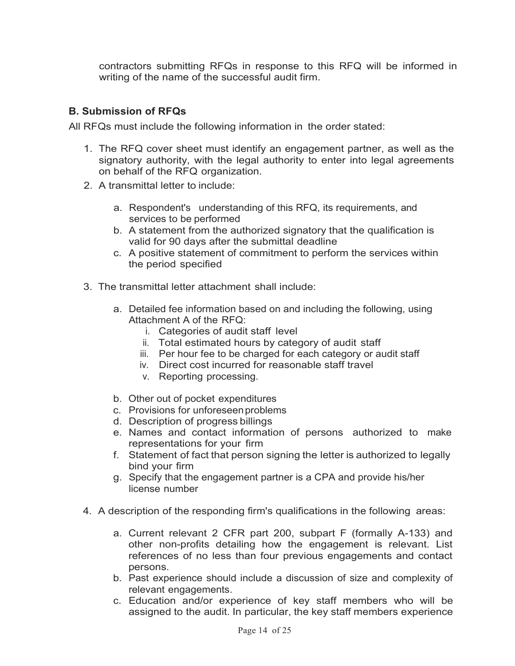contractors submitting RFQs in response to this RFQ will be informed in writing of the name of the successful audit firm.

# **B. Submission of RFQs**

All RFQs must include the following information in the order stated:

- 1. The RFQ cover sheet must identify an engagement partner, as well as the signatory authority, with the legal authority to enter into legal agreements on behalf of the RFQ organization.
- 2. A transmittal letter to include:
	- a. Respondent's understanding of this RFQ, its requirements, and services to be performed
	- b. A statement from the authorized signatory that the qualification is valid for 90 days after the submittal deadline
	- c. A positive statement of commitment to perform the services within the period specified
- 3. The transmittal letter attachment shall include:
	- a. Detailed fee information based on and including the following, using Attachment A of the RFQ:
		- i. Categories of audit staff level
		- ii. Total estimated hours by category of audit staff
		- iii. Per hour fee to be charged for each category or audit staff
		- iv. Direct cost incurred for reasonable staff travel
		- v. Reporting processing.
	- b. Other out of pocket expenditures
	- c. Provisions for unforeseenproblems
	- d. Description of progress billings
	- e. Names and contact information of persons authorized to make representations for your firm
	- f. Statement of fact that person signing the letter is authorized to legally bind your firm
	- g. Specify that the engagement partner is a CPA and provide his/her license number
- 4. A description of the responding firm's qualifications in the following areas:
	- a. Current relevant 2 CFR part 200, subpart F (formally A-133) and other non-profits detailing how the engagement is relevant. List references of no less than four previous engagements and contact persons.
	- b. Past experience should include a discussion of size and complexity of relevant engagements.
	- c. Education and/or experience of key staff members who will be assigned to the audit. In particular, the key staff members experience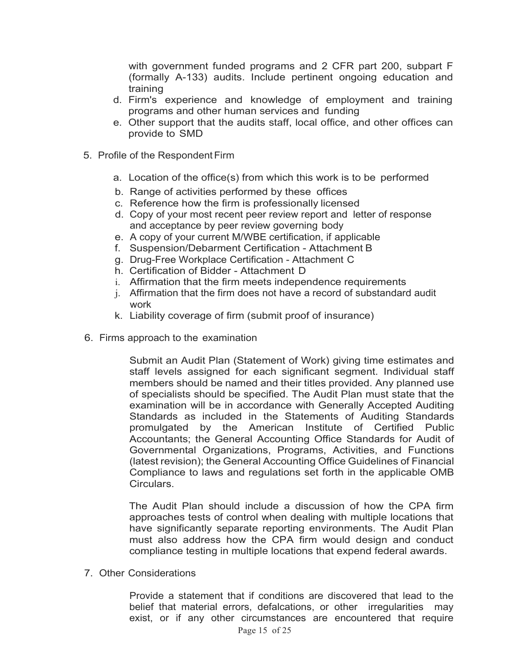with government funded programs and 2 CFR part 200, subpart F (formally A-133) audits. Include pertinent ongoing education and training

- d. Firm's experience and knowledge of employment and training programs and other human services and funding
- e. Other support that the audits staff, local office, and other offices can provide to SMD
- 5. Profile of the Respondent Firm
	- a. Location of the office(s) from which this work is to be performed
	- b. Range of activities performed by these offices
	- c. Reference how the firm is professionally licensed
	- d. Copy of your most recent peer review report and letter of response and acceptance by peer review governing body
	- e. A copy of your current M/WBE certification, if applicable
	- f. Suspension/Debarment Certification Attachment B
	- g. Drug-Free Workplace Certification Attachment C
	- h. Certification of Bidder Attachment D
	- i. Affirmation that the firm meets independence requirements
	- j. Affirmation that the firm does not have a record of substandard audit work
	- k. Liability coverage of firm (submit proof of insurance)
- 6. Firms approach to the examination

Submit an Audit Plan (Statement of Work) giving time estimates and staff levels assigned for each significant segment. Individual staff members should be named and their titles provided. Any planned use of specialists should be specified. The Audit Plan must state that the examination will be in accordance with Generally Accepted Auditing Standards as included in the Statements of Auditing Standards promulgated by the American Institute of Certified Public Accountants; the General Accounting Office Standards for Audit of Governmental Organizations, Programs, Activities, and Functions (latest revision); the General Accounting Office Guidelines of Financial Compliance to laws and regulations set forth in the applicable OMB Circulars.

The Audit Plan should include a discussion of how the CPA firm approaches tests of control when dealing with multiple locations that have significantly separate reporting environments. The Audit Plan must also address how the CPA firm would design and conduct compliance testing in multiple locations that expend federal awards.

7. Other Considerations

Provide a statement that if conditions are discovered that lead to the belief that material errors, defalcations, or other irregularities may exist, or if any other circumstances are encountered that require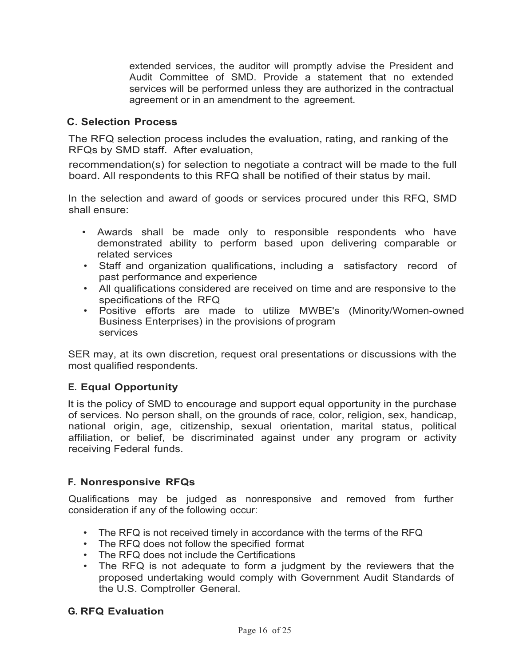extended services, the auditor will promptly advise the President and Audit Committee of SMD. Provide a statement that no extended services will be performed unless they are authorized in the contractual agreement or in an amendment to the agreement.

### **C. Selection Process**

The RFQ selection process includes the evaluation, rating, and ranking of the RFQs by SMD staff. After evaluation,

recommendation(s) for selection to negotiate a contract will be made to the full board. All respondents to this RFQ shall be notified of their status by mail.

In the selection and award of goods or services procured under this RFQ, SMD shall ensure:

- Awards shall be made only to responsible respondents who have demonstrated ability to perform based upon delivering comparable or related services
- Staff and organization qualifications, including a satisfactory record of past performance and experience
- All qualifications considered are received on time and are responsive to the specifications of the RFQ
- Positive efforts are made to utilize MWBE's (Minority/Women-owned Business Enterprises) in the provisions of program services

SER may, at its own discretion, request oral presentations or discussions with the most qualified respondents.

# **E. Equal Opportunity**

It is the policy of SMD to encourage and support equal opportunity in the purchase of services. No person shall, on the grounds of race, color, religion, sex, handicap, national origin, age, citizenship, sexual orientation, marital status, political affiliation, or belief, be discriminated against under any program or activity receiving Federal funds.

### **F. Nonresponsive RFQs**

Qualifications may be judged as nonresponsive and removed from further consideration if any of the following occur:

- The RFQ is not received timely in accordance with the terms of the RFQ
- The RFQ does not follow the specified format
- The RFQ does not include the Certifications
- The RFQ is not adequate to form a judgment by the reviewers that the proposed undertaking would comply with Government Audit Standards of the U.S. Comptroller General.

### **G. RFQ Evaluation**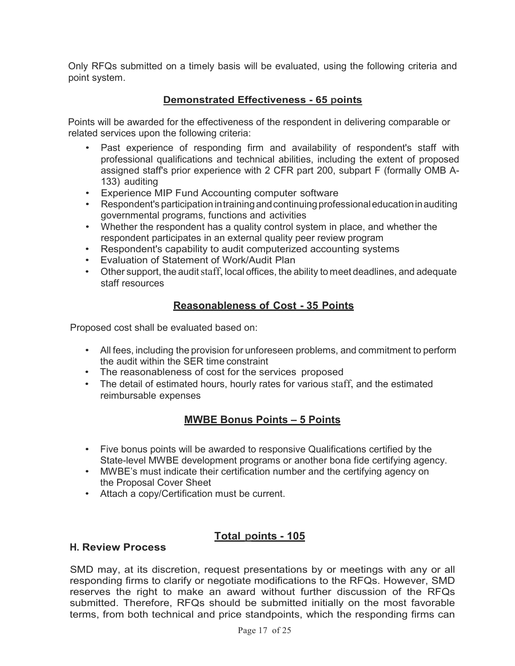Only RFQs submitted on a timely basis will be evaluated, using the following criteria and point system.

# **Demonstrated Effectiveness - 65 points**

Points will be awarded for the effectiveness of the respondent in delivering comparable or related services upon the following criteria:

- Past experience of responding firm and availability of respondent's staff with professional qualifications and technical abilities, including the extent of proposed assigned staff's prior experience with 2 CFR part 200, subpart F (formally OMB A-133) auditing
- Experience MIP Fund Accounting computer software
- Respondent's participation intrainingandcontinuingprofessionaleducationinauditing governmental programs, functions and activities
- Whether the respondent has a quality control system in place, and whether the respondent participates in an external quality peer review program
- Respondent's capability to audit computerized accounting systems
- Evaluation of Statement of Work/Audit Plan
- Other support, the audit staff, local offices, the ability to meet deadlines, and adequate staff resources

# **Reasonableness of Cost - 35 Points**

Proposed cost shall be evaluated based on:

- All fees, including the provision for unforeseen problems, and commitment to perform the audit within the SER time constraint
- The reasonableness of cost for the services proposed
- The detail of estimated hours, hourly rates for various staff, and the estimated reimbursable expenses

# **MWBE Bonus Points – 5 Points**

- Five bonus points will be awarded to responsive Qualifications certified by the State-level MWBE development programs or another bona fide certifying agency.
- MWBE's must indicate their certification number and the certifying agency on the Proposal Cover Sheet
- Attach a copy/Certification must be current.

# **Total points - 105**

### **H. Review Process**

SMD may, at its discretion, request presentations by or meetings with any or all responding firms to clarify or negotiate modifications to the RFQs. However, SMD reserves the right to make an award without further discussion of the RFQs submitted. Therefore, RFQs should be submitted initially on the most favorable terms, from both technical and price standpoints, which the responding firms can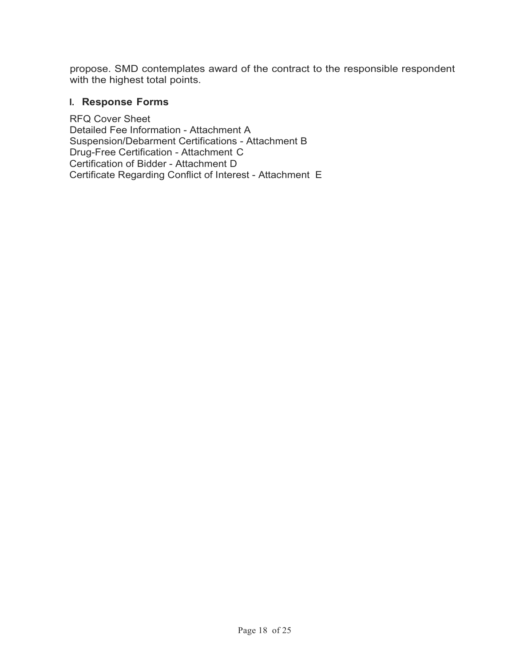propose. SMD contemplates award of the contract to the responsible respondent with the highest total points.

### **I. Response Forms**

RFQ Cover Sheet Detailed Fee Information - Attachment A Suspension/Debarment Certifications - Attachment B Drug-Free Certification - Attachment C Certification of Bidder - Attachment D Certificate Regarding Conflict of Interest - Attachment E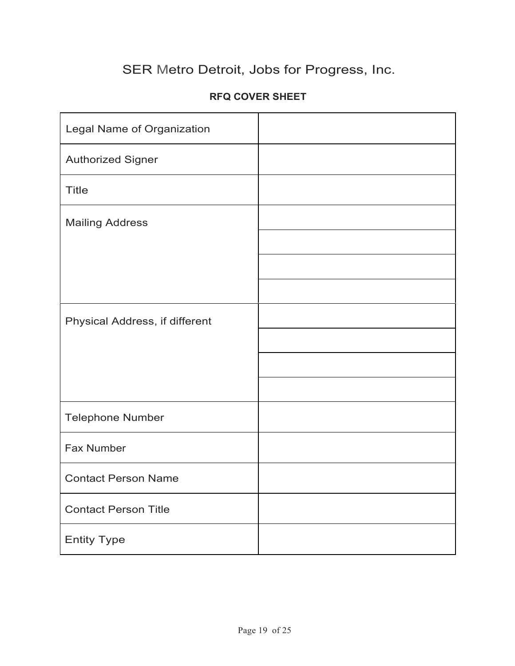# **RFQ COVER SHEET**

| Legal Name of Organization     |  |
|--------------------------------|--|
| <b>Authorized Signer</b>       |  |
| <b>Title</b>                   |  |
| <b>Mailing Address</b>         |  |
|                                |  |
|                                |  |
|                                |  |
| Physical Address, if different |  |
|                                |  |
|                                |  |
|                                |  |
| <b>Telephone Number</b>        |  |
| Fax Number                     |  |
| <b>Contact Person Name</b>     |  |
| <b>Contact Person Title</b>    |  |
| <b>Entity Type</b>             |  |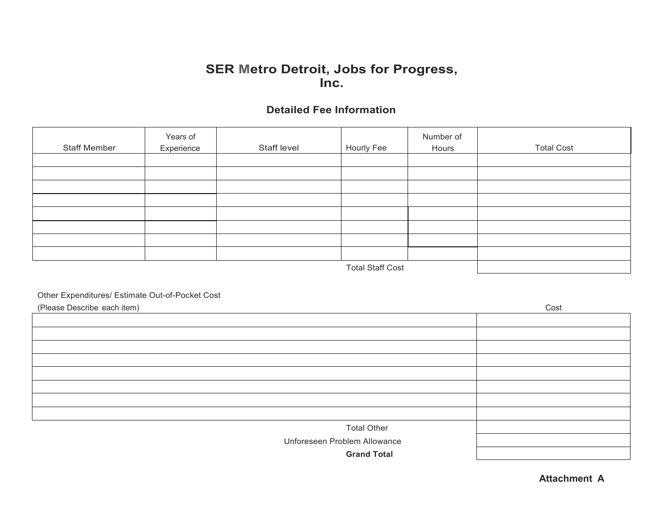# **Detailed Fee Information**

| <b>Staff Member</b> | Years of<br>Experience | Staff level | Hourly Fee      | Number of<br>Hours | <b>Total Cost</b> |
|---------------------|------------------------|-------------|-----------------|--------------------|-------------------|
|                     |                        |             |                 |                    |                   |
|                     |                        |             |                 |                    |                   |
|                     |                        |             |                 |                    |                   |
|                     |                        |             |                 |                    |                   |
|                     |                        |             |                 |                    |                   |
|                     |                        |             |                 |                    |                   |
|                     |                        |             |                 |                    |                   |
|                     |                        |             |                 |                    |                   |
|                     |                        |             | $T + 101$ $T^2$ |                    |                   |

Total Staff Cost

#### Other Expenditures/ Estimate Out-of-Pocket Cost

| (Please Describe each item)  | Cost |
|------------------------------|------|
|                              |      |
|                              |      |
|                              |      |
|                              |      |
|                              |      |
|                              |      |
|                              |      |
|                              |      |
| <b>Total Other</b>           |      |
| Unforeseen Problem Allowance |      |
| <b>Grand Total</b>           |      |

**Attachment A**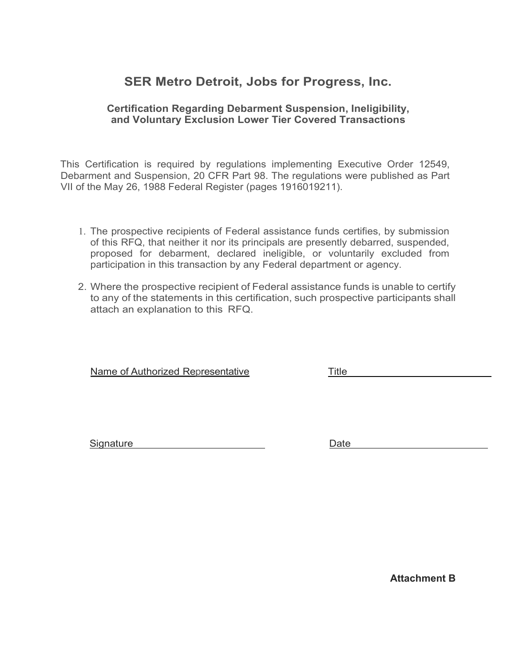### **Certification Regarding Debarment Suspension, Ineligibility, and Voluntary Exclusion Lower Tier Covered Transactions**

This Certification is required by regulations implementing Executive Order 12549, Debarment and Suspension, 20 CFR Part 98. The regulations were published as Part VII of the May 26, 1988 Federal Register (pages 1916019211).

- 1. The prospective recipients of Federal assistance funds certifies, by submission of this RFQ, that neither it nor its principals are presently debarred, suspended, proposed for debarment, declared ineligible, or voluntarily excluded from participation in this transaction by any Federal department or agency.
- 2. Where the prospective recipient of Federal assistance funds is unable to certify to any of the statements in this certification, such prospective participants shall attach an explanation to this RFQ.

Name of Authorized Representative Title

Signature Date

**Attachment B**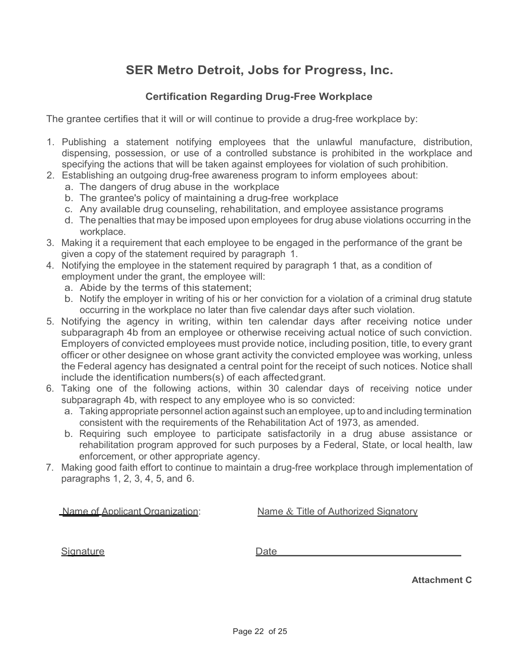# **Certification Regarding Drug-Free Workplace**

The grantee certifies that it will or will continue to provide a drug-free workplace by:

- 1. Publishing a statement notifying employees that the unlawful manufacture, distribution, dispensing, possession, or use of a controlled substance is prohibited in the workplace and specifying the actions that will be taken against employees for violation of such prohibition.
- 2. Establishing an outgoing drug-free awareness program to inform employees about:
	- a. The dangers of drug abuse in the workplace
	- b. The grantee's policy of maintaining a drug-free workplace
	- c. Any available drug counseling, rehabilitation, and employee assistance programs
	- d. The penalties that may be imposed upon employees for drug abuse violations occurring in the workplace.
- 3. Making it a requirement that each employee to be engaged in the performance of the grant be given a copy of the statement required by paragraph 1.
- 4. Notifying the employee in the statement required by paragraph 1 that, as a condition of employment under the grant, the employee will:
	- a. Abide by the terms of this statement;
	- b. Notify the employer in writing of his or her conviction for a violation of a criminal drug statute occurring in the workplace no later than five calendar days after such violation.
- 5. Notifying the agency in writing, within ten calendar days after receiving notice under subparagraph 4b from an employee or otherwise receiving actual notice of such conviction. Employers of convicted employees must provide notice, including position, title, to every grant officer or other designee on whose grant activity the convicted employee was working, unless the Federal agency has designated a central point for the receipt of such notices. Notice shall include the identification numbers(s) of each affectedgrant.
- 6. Taking one of the following actions, within 30 calendar days of receiving notice under subparagraph 4b, with respect to any employee who is so convicted:
	- a. Taking appropriate personnel action against such an employee, up to and including termination consistent with the requirements of the Rehabilitation Act of 1973, as amended.
	- b. Requiring such employee to participate satisfactorily in a drug abuse assistance or rehabilitation program approved for such purposes by a Federal, State, or local health, law enforcement, or other appropriate agency.
- 7. Making good faith effort to continue to maintain a drug-free workplace through implementation of paragraphs 1, 2, 3, 4, 5, and 6.

Name of Applicant Organization: Name & Title of Authorized Signatory

Signature Date

**Attachment C**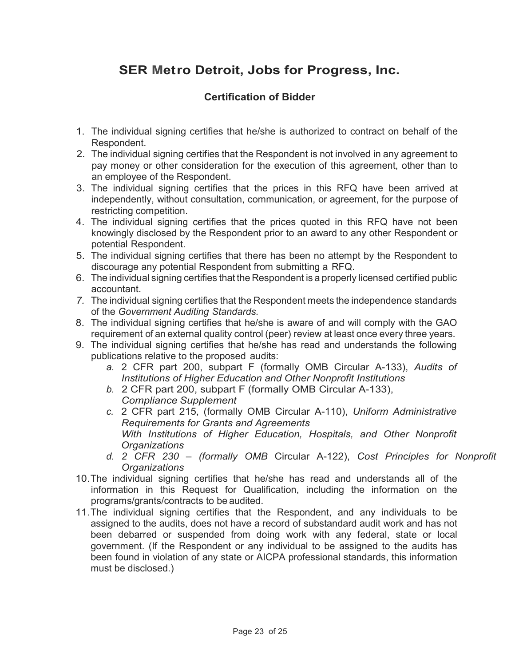# **Certification of Bidder**

- 1. The individual signing certifies that he/she is authorized to contract on behalf of the Respondent.
- 2. The individual signing certifies that the Respondent is not involved in any agreement to pay money or other consideration for the execution of this agreement, other than to an employee of the Respondent.
- 3. The individual signing certifies that the prices in this RFQ have been arrived at independently, without consultation, communication, or agreement, for the purpose of restricting competition.
- 4. The individual signing certifies that the prices quoted in this RFQ have not been knowingly disclosed by the Respondent prior to an award to any other Respondent or potential Respondent.
- 5. The individual signing certifies that there has been no attempt by the Respondent to discourage any potential Respondent from submitting a RFQ.
- 6. The individual signing certifies that the Respondent is a properly licensed certified public accountant.
- *7.* The individual signing certifies that the Respondent meets the independence standards of the *Government Auditing Standards.*
- 8. The individual signing certifies that he/she is aware of and will comply with the GAO requirement of an external quality control (peer) review at least once every three years.
- 9. The individual signing certifies that he/she has read and understands the following publications relative to the proposed audits:
	- *a.* 2 CFR part 200, subpart F (formally OMB Circular A-133), *Audits of Institutions of Higher Education and Other Nonprofit Institutions*
	- *b.* 2 CFR part 200, subpart F (formally OMB Circular A-133), *Compliance Supplement*
	- *c.* 2 CFR part 215, (formally OMB Circular A-110), *Uniform Administrative Requirements for Grants and Agreements With Institutions of Higher Education, Hospitals, and Other Nonprofit Organizations*
	- *d. 2 CFR 230 – (formally OMB* Circular A-122), *Cost Principles for Nonprofit Organizations*
- 10.The individual signing certifies that he/she has read and understands all of the information in this Request for Qualification, including the information on the programs/grants/contracts to be audited.
- 11.The individual signing certifies that the Respondent, and any individuals to be assigned to the audits, does not have a record of substandard audit work and has not been debarred or suspended from doing work with any federal, state or local government. (If the Respondent or any individual to be assigned to the audits has been found in violation of any state or AICPA professional standards, this information must be disclosed.)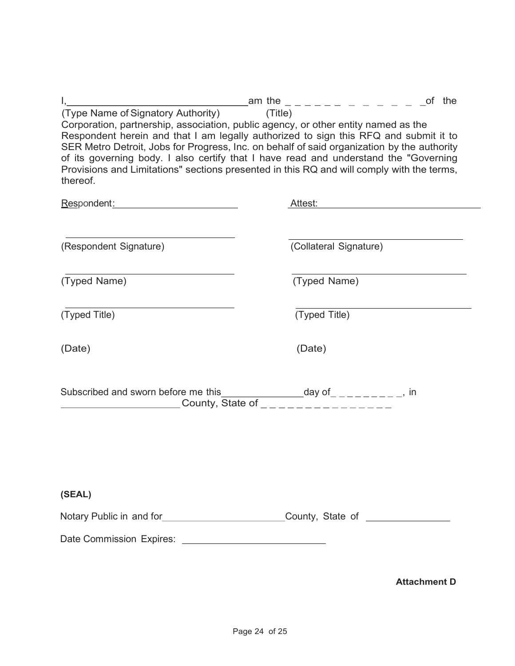|                                                                                                                                                                                                                                                                                                                                                                                                                                                                                                                 |                                                                                                     | of the       |  |  |
|-----------------------------------------------------------------------------------------------------------------------------------------------------------------------------------------------------------------------------------------------------------------------------------------------------------------------------------------------------------------------------------------------------------------------------------------------------------------------------------------------------------------|-----------------------------------------------------------------------------------------------------|--------------|--|--|
| (Type Name of Signatory Authority)<br>Corporation, partnership, association, public agency, or other entity named as the<br>Respondent herein and that I am legally authorized to sign this RFQ and submit it to<br>SER Metro Detroit, Jobs for Progress, Inc. on behalf of said organization by the authority<br>of its governing body. I also certify that I have read and understand the "Governing<br>Provisions and Limitations" sections presented in this RQ and will comply with the terms,<br>thereof. | (Title)                                                                                             |              |  |  |
| Respondent: New York Changes and Changes and Changes and Changes and Changes and Changes and Changes and Changes and Changes and Changes and Changes and Changes and Changes and Changes and Changes and Changes and Changes a                                                                                                                                                                                                                                                                                  | Attest:                                                                                             |              |  |  |
| (Respondent Signature)                                                                                                                                                                                                                                                                                                                                                                                                                                                                                          | (Collateral Signature)                                                                              |              |  |  |
| (Typed Name)                                                                                                                                                                                                                                                                                                                                                                                                                                                                                                    |                                                                                                     | (Typed Name) |  |  |
| (Typed Title)                                                                                                                                                                                                                                                                                                                                                                                                                                                                                                   | (Typed Title)                                                                                       |              |  |  |
| (Date)                                                                                                                                                                                                                                                                                                                                                                                                                                                                                                          | (Date)                                                                                              |              |  |  |
| Subscribed and sworn before me this                                                                                                                                                                                                                                                                                                                                                                                                                                                                             | re me this______________day of_ _ _ _ _ _ _ _ _ in<br>_County, State of _ _ _ _ _ _ _ _ _ _ _ _ _ _ |              |  |  |
| (SEAL)<br>Notary Public in and for____________________________County, State of ____________                                                                                                                                                                                                                                                                                                                                                                                                                     |                                                                                                     |              |  |  |
|                                                                                                                                                                                                                                                                                                                                                                                                                                                                                                                 |                                                                                                     |              |  |  |